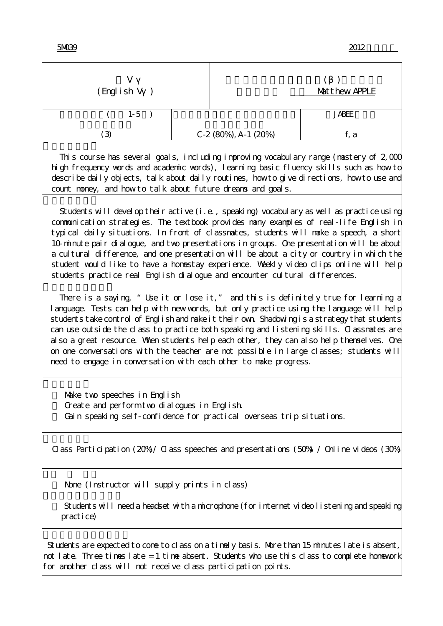| v<br>(English V)                                                                                                                                                                                                                                                                                                                                                                                                                                                                                                                                                                                                                           |  | Matthew APPLE               |              |  |
|--------------------------------------------------------------------------------------------------------------------------------------------------------------------------------------------------------------------------------------------------------------------------------------------------------------------------------------------------------------------------------------------------------------------------------------------------------------------------------------------------------------------------------------------------------------------------------------------------------------------------------------------|--|-----------------------------|--------------|--|
| $1-5$                                                                                                                                                                                                                                                                                                                                                                                                                                                                                                                                                                                                                                      |  |                             | <b>JABEE</b> |  |
| (3)                                                                                                                                                                                                                                                                                                                                                                                                                                                                                                                                                                                                                                        |  | C-2 $(80\%)$ , A-1 $(20\%)$ | f, a         |  |
| This course has several goals, including improving vocabulary range (mastery of $2,000$<br>high frequency words and academic words), learning basic fluency skills such as how to<br>describe daily objects, talk about daily routines, how to give directions, how to use and<br>count noney, and how to talk about future dreans and goals.                                                                                                                                                                                                                                                                                              |  |                             |              |  |
| Students will develop their active (i.e., speaking) vocabulary as well as practice using<br>communication strategies. The textbook provides nany examples of real-life Englishin<br>typical daily situations. In front of classmates, students will make a speech, a short<br>10-minute pair dialogue, and two presentations in groups. One presentation will be about<br>a cultural difference, and one presentation will be about a city or country in which the<br>student would like to have a homestay experience. Weekly video clips online will help<br>students practice real English dialogue and encounter cultural differences. |  |                             |              |  |
| There is a saying, "Use it or lose it," and this is definitely true for learning a<br>language. Tests can help with new words, but only practice using the language will help<br>students take control of English and nake it their own Shadowing is a strategy that students<br>can use outside the class to practice both speaking and listening skills. Classnates are<br>al so a great resource. When students help each other, they can al so help thenselves. One<br>on one conversations with the teacher are not possible in large classes; students will<br>need to engage in conversation with each other to nake progress.      |  |                             |              |  |
| Make two speeches in English<br>Create and perform two dialogues in English<br>Gain speaking self-confidence for practical overseas trip situations.                                                                                                                                                                                                                                                                                                                                                                                                                                                                                       |  |                             |              |  |
| Class Participation (20%) / Class speeches and presentations (50%) / Online videos (30%)                                                                                                                                                                                                                                                                                                                                                                                                                                                                                                                                                   |  |                             |              |  |
| None (Instructor will supply prints in class)                                                                                                                                                                                                                                                                                                                                                                                                                                                                                                                                                                                              |  |                             |              |  |
| Students will need a headset with a microphone (for internet video listening and speaking<br>practice)                                                                                                                                                                                                                                                                                                                                                                                                                                                                                                                                     |  |                             |              |  |
| Students are expected to come to class on a timely basis. More than 15 minutes late is absent,<br>not late. Three times late = 1 time absent. Students who use this class to complete homework<br>for another class will not receive class participation points.                                                                                                                                                                                                                                                                                                                                                                           |  |                             |              |  |